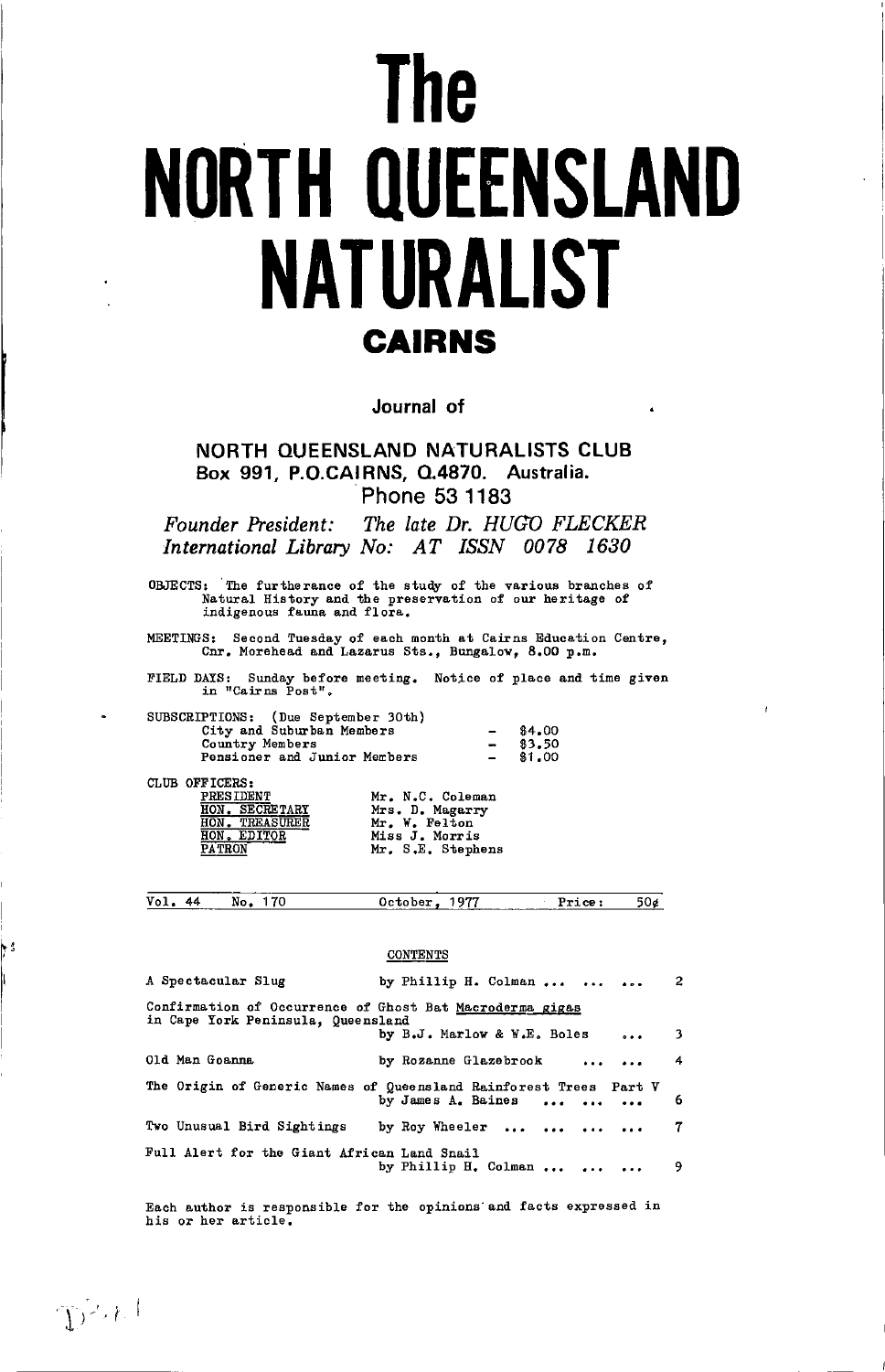# The **NORTH QUEENSLAND** NATURALIST **CAIRNS**

Journal of

NORTH QUEENSLAND NATURALISTS CLUB Box 991, P.O.CAIRNS, Q.4870. Australia. Phone 53 1183

The late Dr. HUGO FLECKER Founder President: International Library No: AT ISSN 0078 1630

OBJECTS: The furtherance of the study of the various branches of Natural History and the preservation of our heritage of indigenous fauna and flora.

MEETINGS: Second Tuesday of each month at Cairns Education Centre, Cnr. Morehead and Lazarus Sts., Bungalow, 8.00 p.m.

FIELD DAYS: Sunday before in "Cairns Post". Sunday before meeting. Notice of place and time given

| SUBSCRIPTIONS: (Due September 30th) |        |
|-------------------------------------|--------|
| City and Suburban Members           | \$4,00 |
| Country Members                     | 83.50  |
| Pensioner and Junior Members        | \$1,00 |

CLUB OFFICERS:

| -------       |                  |  |
|---------------|------------------|--|
|               | <b>PRESIDENT</b> |  |
|               | HON. SECRETARY   |  |
|               | HON. TREASURER   |  |
| HON.          | <b>EDITOR</b>    |  |
| <b>PATRON</b> |                  |  |

|  | Mr. N.C. Coleman  |
|--|-------------------|
|  | Mrs. D. Magarry   |
|  | Mr. W. Felton     |
|  | Miss J. Morris    |
|  | Mr. S.E. Stephens |

 $Vol.44$ No. 170 October, 1977 Price:  $50e$ 

#### **CONTENTS**

| A Spectacular Slug                                                                             | by Phillip H. Colman                                                                    | $\mathbf{2}$ |  |  |  |  |  |
|------------------------------------------------------------------------------------------------|-----------------------------------------------------------------------------------------|--------------|--|--|--|--|--|
| Confirmation of Occurrence of Ghost Bat Macroderma gigas<br>in Cape York Peninsula, Queensland |                                                                                         |              |  |  |  |  |  |
|                                                                                                | by B.J. Marlow & W.E. Boles<br>$\cdots$                                                 | $^{\circ}$ 3 |  |  |  |  |  |
| 01d Man Goanna                                                                                 | by Rozanne Glazebrook                                                                   | 4            |  |  |  |  |  |
|                                                                                                | The Origin of Generic Names of Queensland Rainforest Trees Part V<br>by James A. Baines | 6            |  |  |  |  |  |
|                                                                                                |                                                                                         |              |  |  |  |  |  |
| Two Unusual Bird Sightings                                                                     | by Roy Wheeler                                                                          | 7            |  |  |  |  |  |

Each author is responsible for the opinions and facts expressed in his or her article.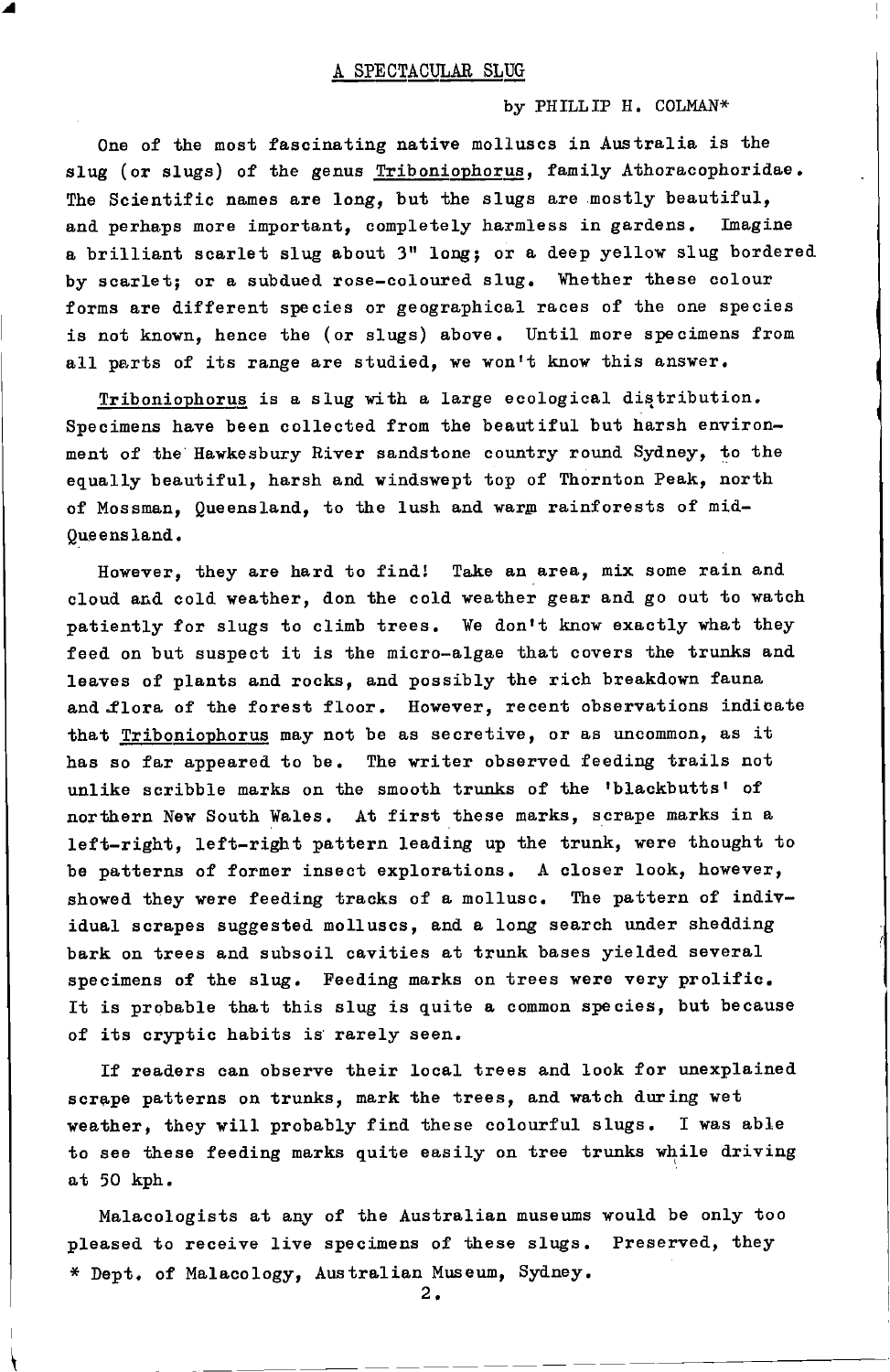by PHILLIP H. COLMAN\*

One of the most fascinating native molluscs in Australia is the slug (or slugs) of the genus Triboniophorus, family Athoracophoridae. The Scientific names are long, but the slugs are mostly beautiful, and perhaps more important, completely harmless in gardens. Imagine a brilliant scarlet slug about 3" long; or a deep yellow slug bordered by scarlet; or a subdued rose-coloured slug. Whether these colour forms are different species or geographical races of the one species is not known, hence the (or slugs) above. Until more specimens from all parts of its range are studied, we won't know this answer.

Triboniophorus is a slug with a large ecological distribution. Specimens have been collected from the beautiful but harsh environment of the Hawkesbury River sandstone country round Sydney, to the equally beautiful, harsh and windswept top of Thornton Peak, north of Mossman, Queensland, to the lush and warm rainforests of mid-Queensland.

However, they are hard to find! Take an area, mix some rain and cloud and cold weather, don the cold weather gear and go out to watch patiently for slugs to climb trees. We don't know exactly what they feed on but suspect it is the micro-algae that covers the trunks and leaves of plants and rocks, and possibly the rich breakdown fauna and flora of the forest floor. However, recent observations indicate that Triboniophorus may not be as secretive, or as uncommon, as it has so far appeared to be. The writer observed feeding trails not unlike scribble marks on the smooth trunks of the 'blackbutts' of northern New South Wales. At first these marks, scrape marks in a left-right, left-right pattern leading up the trunk, were thought to be patterns of former insect explorations. A closer look, however, showed they were feeding tracks of a mollusc. The pattern of individual scrapes suggested molluscs, and a long search under shedding bark on trees and subsoil cavities at trunk bases yielded several specimens of the slug. Feeding marks on trees were very prolific. It is probable that this slug is quite a common species, but because of its cryptic habits is rarely seen.

If readers can observe their local trees and look for unexplained scrape patterns on trunks, mark the trees, and watch during wet weather, they will probably find these colourful slugs. I was able to see these feeding marks quite easily on tree trunks while driving at 50 kph.

Malacologists at any of the Australian museums would be only too pleased to receive live specimens of these slugs. Preserved, they \* Dept. of Malacology, Australian Museum, Sydney.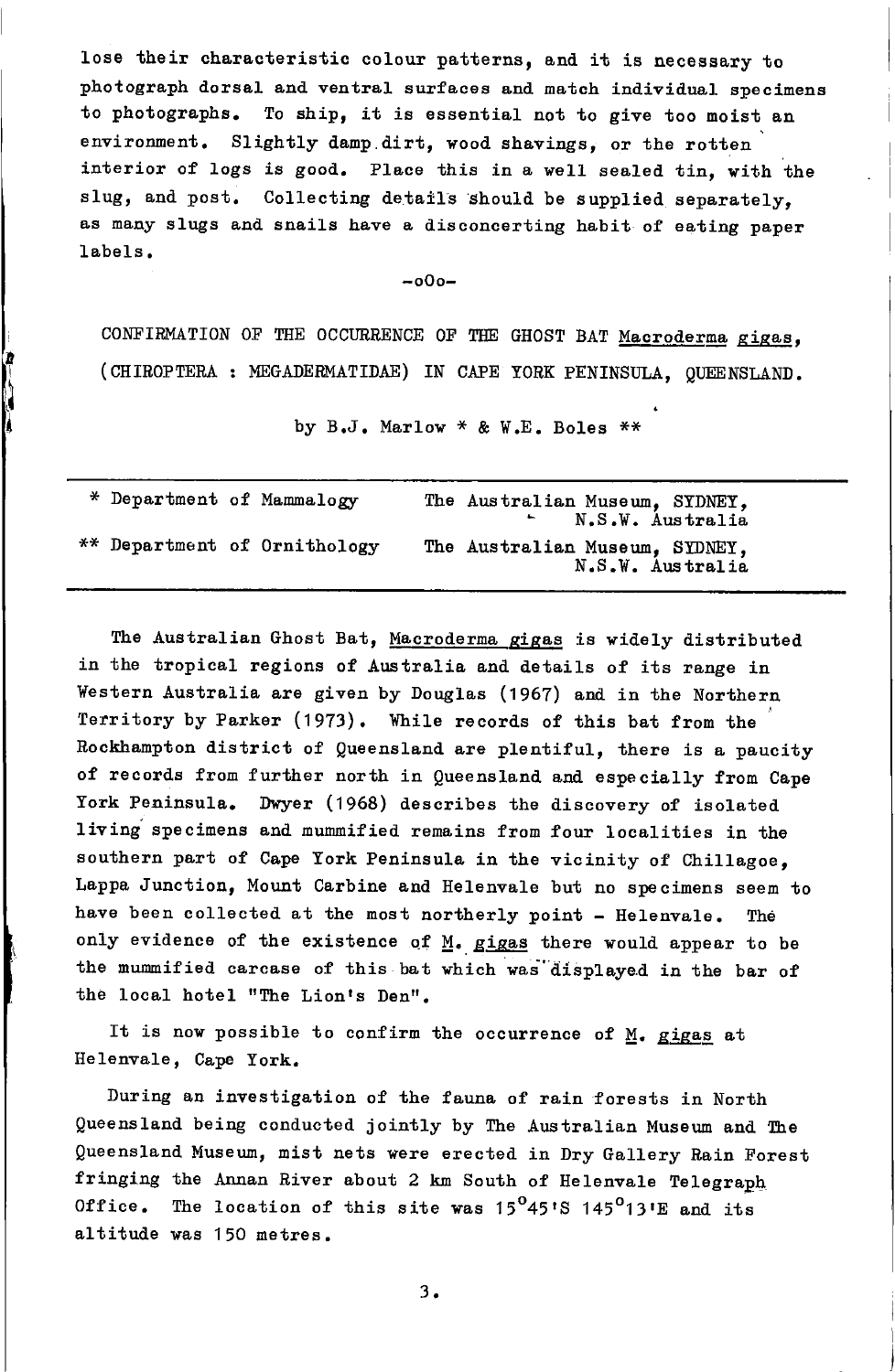lose their characteristic colour patterns, and it is necessary to photograph dorsal and ventral surfaces and match individual specimens to photographs. To ship, it is essential not to give too moist an environment. Slightly damp dirt, wood shavings, or the rotten interior of logs is good. Place this in a well sealed tin, with the slug, and post. Collecting details should be supplied separately. as many slugs and snails have a disconcerting habit of eating paper labels.

 $-000-$ 

CONFIRMATION OF THE OCCURRENCE OF THE GHOST BAT Macroderma gigas, (CHIROPTERA : MEGADERMATIDAE) IN CAPE YORK PENINSULA, QUEENSLAND.

by  $B_0J$ . Marlow \* & W.E. Boles \*\*

| * Department of Mammalogy |                              | The Australian Museum, SYDNEY,<br>N.S.W. Australia |
|---------------------------|------------------------------|----------------------------------------------------|
|                           | ** Department of Ornithology | The Australian Museum, SYDNEY,<br>N.S.W. Australia |

The Australian Ghost Bat, Macroderma gigas is widely distributed in the tropical regions of Australia and details of its range in Western Australia are given by Douglas (1967) and in the Northern Territory by Parker (1973). While records of this bat from the Rockhampton district of Queensland are plentiful, there is a paucity of records from further north in Queensland and especially from Cape York Peninsula. Dwyer (1968) describes the discovery of isolated living specimens and mummified remains from four localities in the southern part of Cape York Peninsula in the vicinity of Chillagoe, Lappa Junction, Mount Carbine and Helenvale but no specimens seem to have been collected at the most northerly point - Helenvale. The only evidence of the existence of M. gigas there would appear to be the mummified carcase of this bat which was displayed in the bar of the local hotel "The Lion's Den".

It is now possible to confirm the occurrence of  $M$ . gigas at Helenvale, Cape York.

During an investigation of the fauna of rain forests in North Queensland being conducted jointly by The Australian Museum and The Queensland Museum, mist nets were erected in Dry Gallery Rain Forest fringing the Annan River about 2 km South of Helenvale Telegraph Office. The location of this site was  $15^{\circ}45^{\circ}8$  145<sup>°</sup>13'E and its altitude was 150 metres.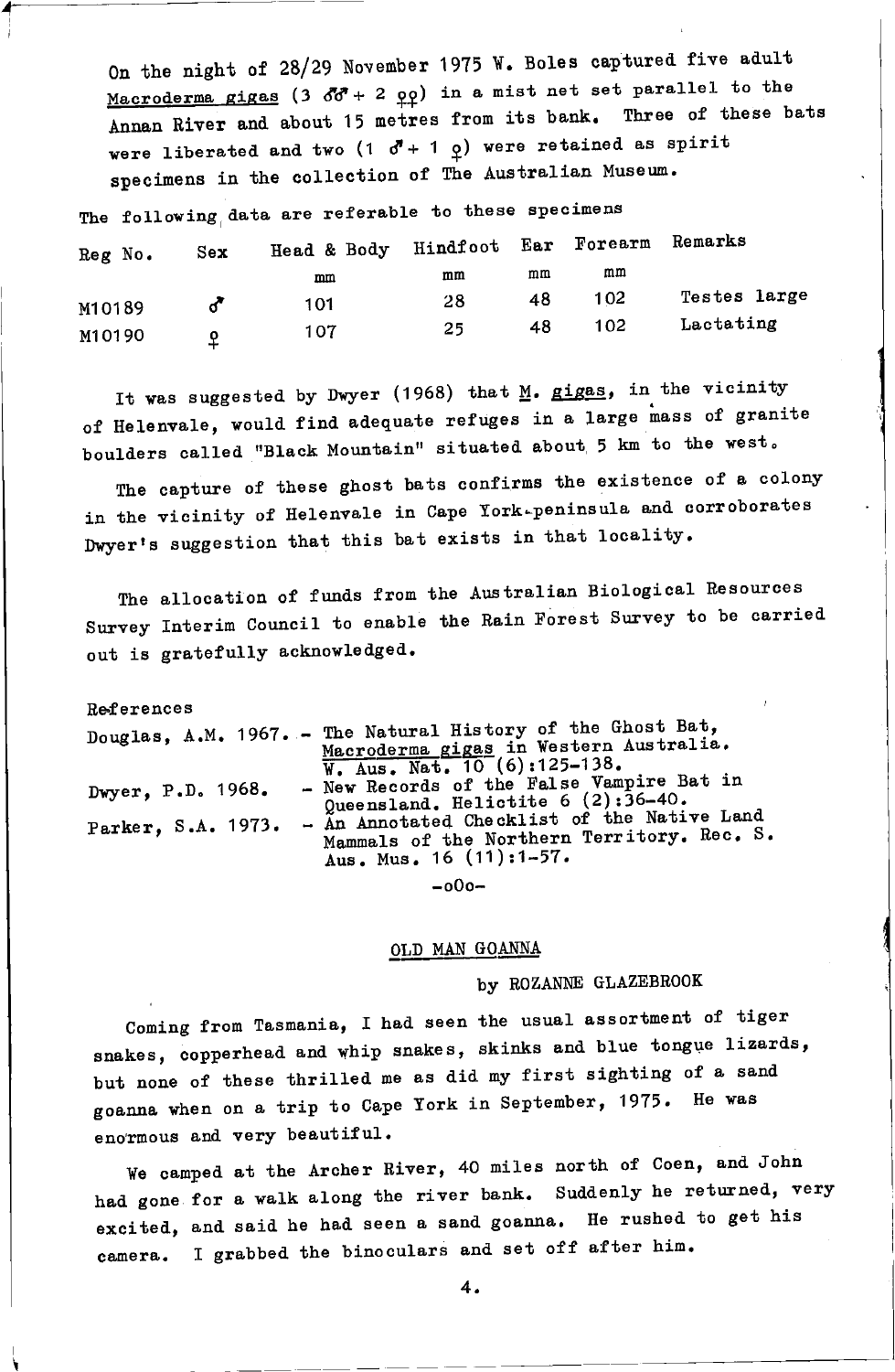On the night of 28/29 November 1975 W. Boles captured five adult Macroderma gigas (3 60<sup>7</sup> + 2 oo) in a mist net set parallel to the Annan River and about 15 metres from its bank. Three of these bats were liberated and two (1  $\vec{\sigma}$ + 1  $\varrho$ ) were retained as spirit specimens in the collection of The Australian Museum.

The following data are referable to these specimens

| Reg No. | Sex: | Head & Body | Hindfoot Ear |    | Forearm | Remarks      |
|---------|------|-------------|--------------|----|---------|--------------|
|         |      | mm          | mm           | mm | mm      |              |
| M10189  |      | 101         | 28           | 48 | 102     | Testes large |
| M10190  |      | 107         | 25           | 48 | 102     | Lactating    |

It was suggested by Dwyer (1968) that M. gigas, in the vicinity of Helenvale, would find adequate refuges in a large mass of granite boulders called "Black Mountain" situated about 5 km to the west.

The capture of these ghost bats confirms the existence of a colony in the vicinity of Helenvale in Cape York-peninsula and corroborates Dwyer's suggestion that this bat exists in that locality.

The allocation of funds from the Australian Biological Resources Survey Interim Council to enable the Rain Forest Survey to be carried out is gratefully acknowledged.

References Douglas, A.M. 1967. - The Natural History of the Ghost Bat, Macroderma gigas in Western Australia.<br>W. Aus. Nat. 10 (6):125-138. - New Records of the False Vampire Bat in Dwyer, P.D. 1968. Queensland. Helictite  $6(2):36-40$ . Parker, S.A. 1973. - An Annotated Checklist of the Native Land Mammals of the Northern Territory. Rec. S. Aus. Mus. 16 (11):1-57.  $-000-$ 

# OLD MAN GOANNA

### by ROZANNE GLAZEBROOK

Coming from Tasmania, I had seen the usual assortment of tiger snakes, copperhead and whip snakes, skinks and blue tongue lizards, but none of these thrilled me as did my first sighting of a sand goanna when on a trip to Cape York in September, 1975. He was enormous and very beautiful.

We camped at the Archer River, 40 miles north of Coen, and John had gone for a walk along the river bank. Suddenly he returned, very excited, and said he had seen a sand goanna. He rushed to get his camera. I grabbed the binoculars and set off after him.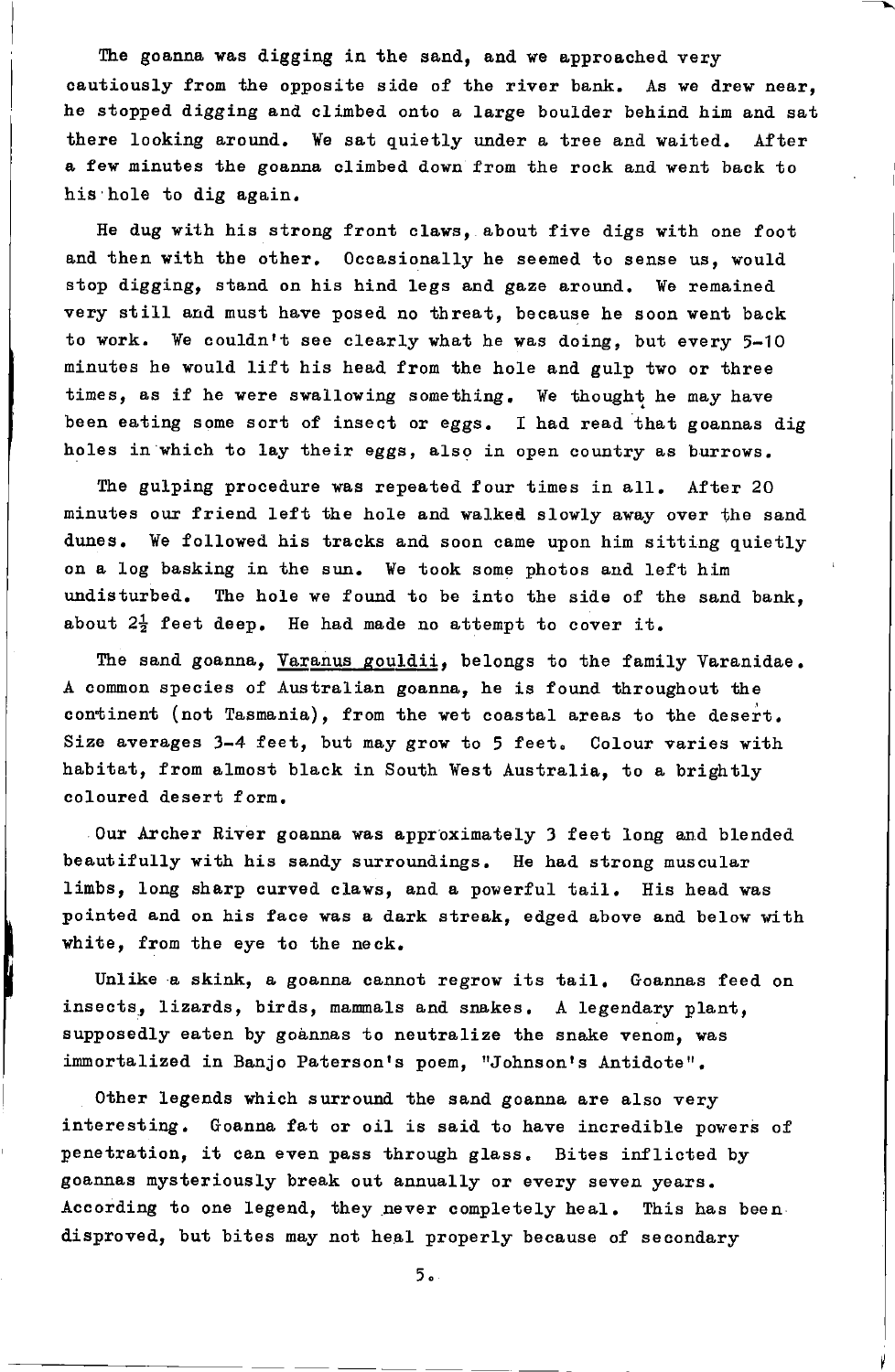The goanna was digging in the sand, and we approached very cautiously from the opposite side of the river bank. As we drew near. he stopped digging and climbed onto a large boulder behind him and sat there looking around. We sat quietly under a tree and waited. After a few minutes the goanna climbed down from the rock and went back to his hole to dig again.

He dug with his strong front claws, about five digs with one foot and then with the other. Occasionally he seemed to sense us, would stop digging, stand on his hind legs and gaze around. We remained very still and must have posed no threat, because he soon went back to work. We couldn't see clearly what he was doing, but every 5-10 ninutes he would lift his head fron the hole antl gulp two or three times, as if he were swallowing something. We thought he may have been eating some sort of insect or eggs. I had read that goannas dig holes in which to lay their eggs, also in open country as burrows.

The gulping procedure was repeated four times in all. After 20 minutes our friend left the hole and walked slowly away over the sand dunes. We followed his tracks and soon came upon him sitting quietly on a log basking in the sun. We took some photos and left him undisturbed. The hole we found to be into the side of the sand bank. about  $2\frac{1}{2}$  feet deep. He had made no attempt to cover it.

The sand goanna, Varanus gouldii, belongs to the family Varanidae. A common species of Australian goanna, he is found throughout the continent (not Tasmania), from the wet coastal areas to the desert. Size averages  $3-4$  feet, but may grow to 5 feet. Colour varies with habitat, from almost black in South West Australia, to a brightly coloured desert form.

Our Archer River goanna was approximately 3 feet long and blended beautifully with his sandy surroundings. He had strong muscular limbs, long sharp curved claws, and a powerful tail. His head was pointed and on his face was a dark streak, edged above and below with white, from the eye to the neck.

Unlike a skink, a goanna cannot regrow its tail. Goannas feed on insects, lizards, birds, mammals and snakes. A legendary plant, supposedly eaten by goannas to neutralize the snake venom, was immortalized in Banjo Paterson's poem, "Johnson's Antidote".

Other legends which surround the sand goanna are also very interesting. Goanna fat or oil is said to have incredible powers of penetration, it can even pass through glass. Bites inflicted by goannas mysteriously break out annually or every seven years. According to one legend, they never completely heal. This has been. disproved, but bites may not heal properly because of secondary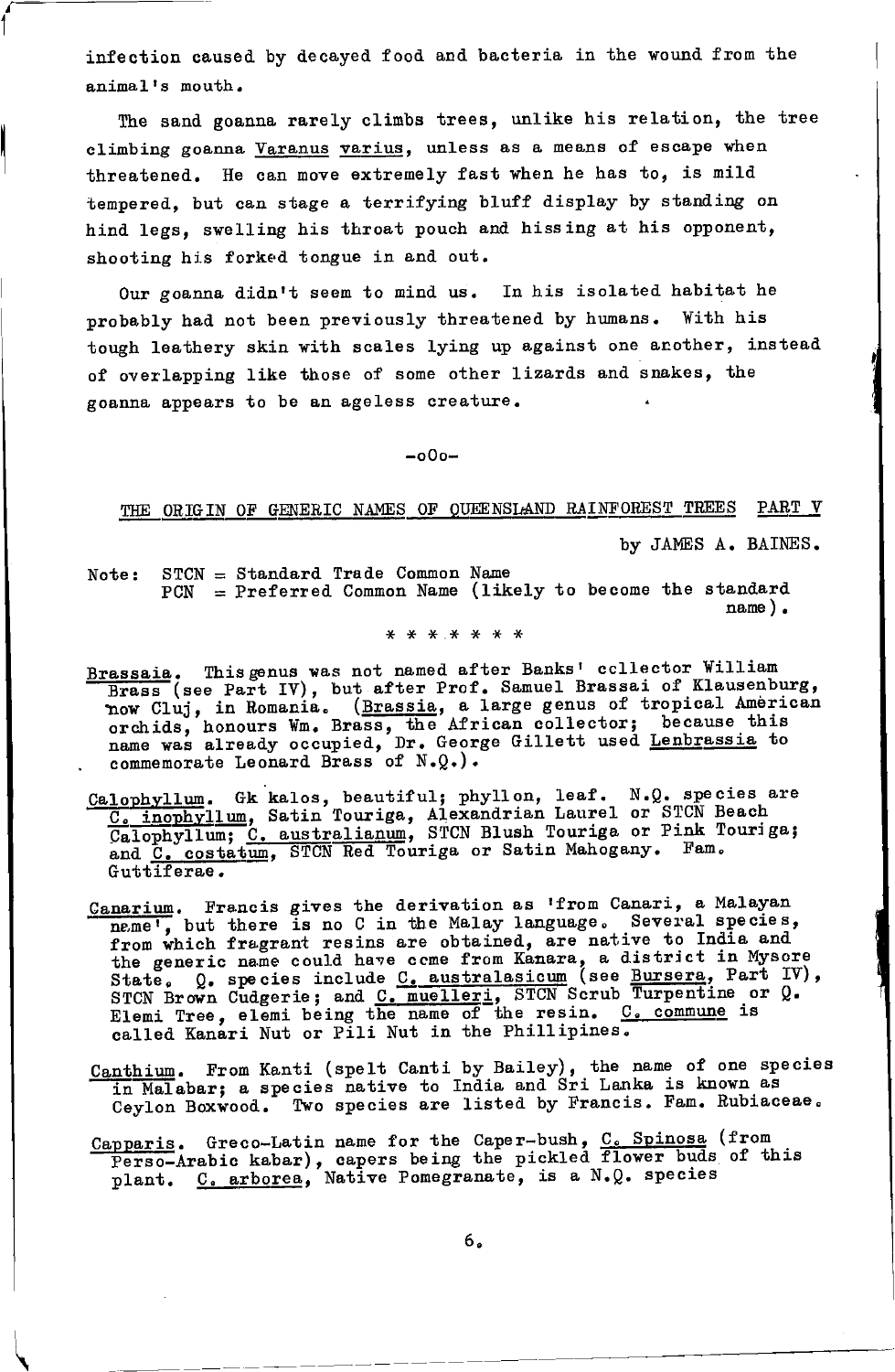infection caused by decayed food and bacteria in the wound from the animal's mouth.

The sand goanna rarely climbs trees, unlike his relation, the tree climbing goanna Varanus varius, unless as a means of escape when threatened. He can move extremely fast when he has to, is mild tempered, but can stage a terrifying bluff display by standing on hind legs, swelling his throat pouch and hissing at his opponent, shooting his forked tongue in and out.

Our goanna didn't seem to mind us. In his isolated habitat he probably had not been previously threatened by humans. With his tough leathery skin with scales lying up against one another, instead of overlapping like those of some other lizards and snakes, the goanna appears to be an ageless creature.

 $-000-$ 

THE ORIGIN OF GENERIC NAMES OF QUEENSLAND RAINFOREST TREES PART V

by JAMES A. BAINES.

Note: STCN = Standard Trade Common Name  $PCN$  = Preferred Common Name (likely to become the standard  $name)$ .

\* \* \* \* \* \* \*

- Brassaia. This genus was not named after Banks' ccllector William Brass (see Part IV), but after Prof. Samuel Brassai of Klausenburg, now Cluj, in Romania. (Brassia, a large genus of tropical American<br>orchids, honours Wm. Brass, the African collector; because this<br>name was already occupied, Dr. George Gillett used Lenbrassia to<br>commemorate Leonard Brass
- Calophyllum. Gk kalos, beautiful; phyllon, leaf. N.Q. species are  $\frac{C_e \text{ inophyllum}}{\text{Calophyllum}}$ , Satin Touriga, Alexandrian Laurel or STCN Beach Galophyllum; C. australianum, STCN Blush Touriga or Pink Touriga; and C. costatum, STCN Red Touriga or Satin Mahogany. Fam.<br>Guttiferae.
- Canarium. Francis gives the derivation as 'from Canari, a Malayan name', but there is no C in the Malay language. Several species, from which fragrant resins are obtained, are native to India and from which fragrant resins are obtained, are matter to find and<br>the generic name could have come from Kanara, a district in Mysore<br>State, Q, species include C, australasicum (see Bursera, Part IV),<br>STCN Brown Cudgerie; and
- Canthium. From Kanti (spelt Canti by Bailey), the name of one species in Malabar; a species native to India and Sri Lanka is known as Ceylon Boxwood. Two species are listed by Francis. Fam. Rubiaceae.
- Capparis. Greco-Latin name for the Caper-bush,  $C_c$  Spinosa (from<br>Perso-Arabic kabar), capers being the pickled flower buds of this plant. C. arborea, Native Pomegranate, is a N.Q. species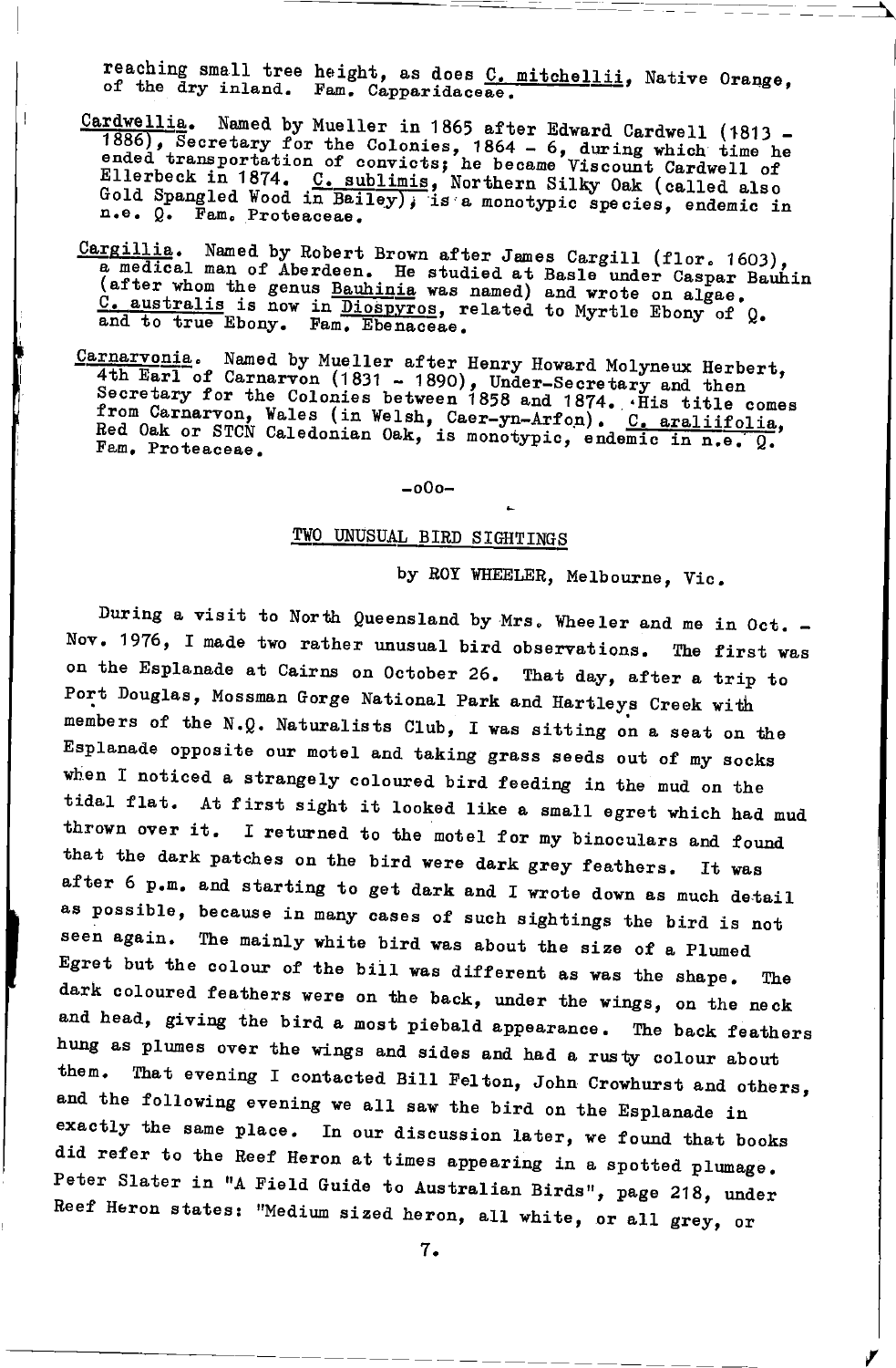reaching small tree height, as does C. mitchellii, Native Orange, of the dry inland. Fam. Capparidaceae.

- Cardwellia. Named by Mueller in 1865 after Edward Cardwell (1813 and the colonies, 1864 - 6, during which time he 1886), Secretary for the Colonies, 1864 - 6, during which time he ended transportation of convicts; he became Viscount Cardwell of Ellerbeck in 1874. C. sublimis, Northern S n.e. Q. Fam. Proteaceae.
- Cargillia. Named by Robert Brown after James Cargill (flor. 1603),<br>a medical man of Aberdeen. He studied at Basle under Caspar Bauhin<br>(after whom the genus Bauhinia was named) and wrote on algae. C. australis is now in Diospyros, related to Myrtle Ebony of Q. and to true Ebony. Fam. Ebenaceae.
- Carnarvonia. Named by Mueller after Henry Howard Molyneux Herbert, 4th Earl of Carnarvon (1831 - 1890), Under-Secretary and then<br>Secretary for the Colonies between 1858 and 1874. His title comes from Carnarvon, Wales (in Welsh, Caer-yn-Arfon). C. araliifolia, Red Oak or STCN Caledonian Oak, is monotypic, endemic in n.e. Q. Fam. Proteaceae.

 $-000-$ 

## TWO UNUSUAL BIRD SIGHTINGS

by ROY WHEELER, Melbourne, Vic.

During a visit to North Queensland by Mrs. Wheeler and me in Oct. -Nov. 1976, I made two rather unusual bird observations. The first was on the Esplanade at Cairns on October 26. That day, after a trip to Port Douglas, Mossman Gorge National Park and Hartleys Creek with members of the N.Q. Naturalists Club, I was sitting on a seat on the Esplanade opposite our motel and taking grass seeds out of my socks when I noticed a strangely coloured bird feeding in the mud on the tidal flat. At first sight it looked like a small egret which had mud thrown over it. I returned to the motel for my binoculars and found that the dark patches on the bird were dark grey feathers. It was after 6 p.m. and starting to get dark and I wrote down as much detail as possible, because in many cases of such sightings the bird is not seen again. The mainly white bird was about the size of a Plumed Egret but the colour of the bill was different as was the shape. The dark coloured feathers were on the back, under the wings, on the neck and head, giving the bird a most piebald appearance. The back feathers hung as plumes over the wings and sides and had a rusty colour about them. That evening I contacted Bill Felton, John Crowhurst and others, and the following evening we all saw the bird on the Esplanade in exactly the same place. In our discussion later, we found that books did refer to the Reef Heron at times appearing in a spotted plumage. Peter Slater in "A Field Guide to Australian Birds", page 218, under Reef Heron states: "Medium sized heron, all white, or all grey, or